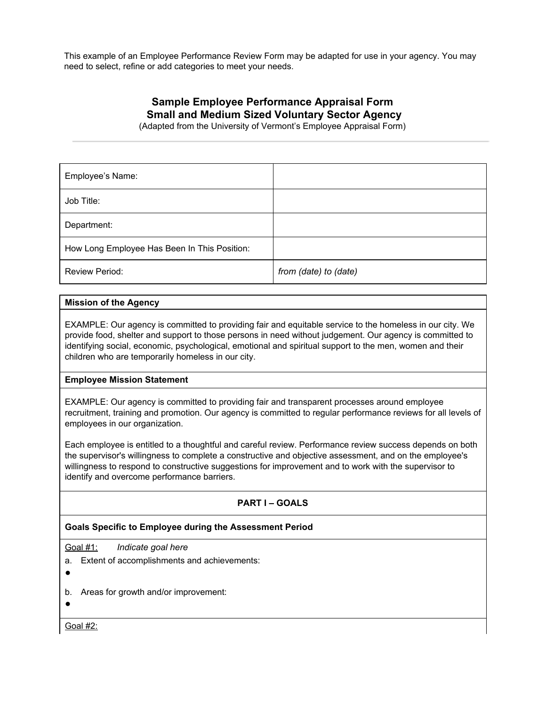This example of an Employee Performance Review Form may be adapted for use in your agency. You may need to select, refine or add categories to meet your needs.

# **Sample Employee Performance Appraisal Form Small and Medium Sized Voluntary Sector Agency**

(Adapted from the University of Vermont's Employee Appraisal Form)

| Employee's Name:                             |                       |
|----------------------------------------------|-----------------------|
| Job Title:                                   |                       |
| Department:                                  |                       |
| How Long Employee Has Been In This Position: |                       |
| <b>Review Period:</b>                        | from (date) to (date) |

#### **Mission of the Agency**

EXAMPLE: Our agency is committed to providing fair and equitable service to the homeless in our city. We provide food, shelter and support to those persons in need without judgement. Our agency is committed to identifying social, economic, psychological, emotional and spiritual support to the men, women and their children who are temporarily homeless in our city.

### **Employee Mission Statement**

EXAMPLE: Our agency is committed to providing fair and transparent processes around employee recruitment, training and promotion. Our agency is committed to regular performance reviews for all levels of employees in our organization.

Each employee is entitled to a thoughtful and careful review. Performance review success depends on both the supervisor's willingness to complete a constructive and objective assessment, and on the employee's willingness to respond to constructive suggestions for improvement and to work with the supervisor to identify and overcome performance barriers.

## **PART I – GOALS**

#### **Goals Specific to Employee during the Assessment Period**

Goal #1: *Indicate goal here*

a. Extent of accomplishments and achievements:

●

- b. Areas for growth and/or improvement:
- ●

Goal #2: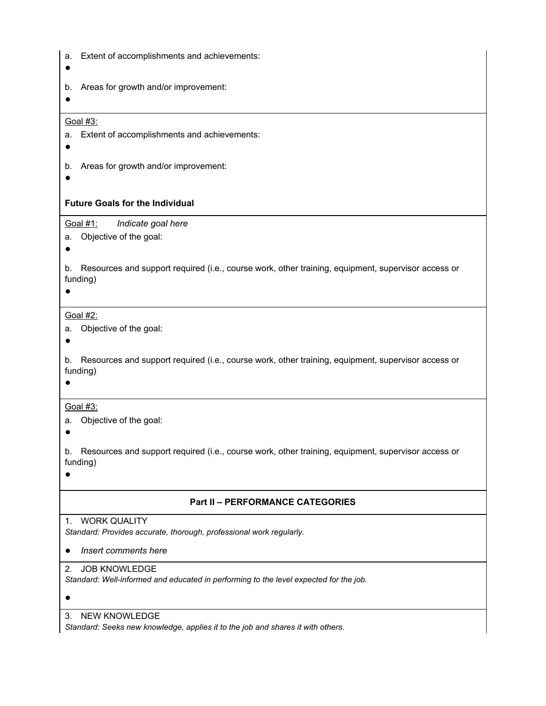| a.                                      | Extent of accomplishments and achievements:                                                                    |  |
|-----------------------------------------|----------------------------------------------------------------------------------------------------------------|--|
| b.                                      | Areas for growth and/or improvement:                                                                           |  |
|                                         | Goal #3:                                                                                                       |  |
| a.                                      | Extent of accomplishments and achievements:                                                                    |  |
| b.                                      | Areas for growth and/or improvement:                                                                           |  |
| <b>Future Goals for the Individual</b>  |                                                                                                                |  |
|                                         | Goal #1:<br>Indicate goal here                                                                                 |  |
| а.                                      | Objective of the goal:                                                                                         |  |
| b.                                      | Resources and support required (i.e., course work, other training, equipment, supervisor access or<br>funding) |  |
| Goal #2:                                |                                                                                                                |  |
| a.                                      | Objective of the goal:                                                                                         |  |
| b.                                      | Resources and support required (i.e., course work, other training, equipment, supervisor access or<br>funding) |  |
|                                         | Goal #3:                                                                                                       |  |
| a.                                      | Objective of the goal:                                                                                         |  |
| b.                                      | Resources and support required (i.e., course work, other training, equipment, supervisor access or<br>funding) |  |
| <b>Part II - PERFORMANCE CATEGORIES</b> |                                                                                                                |  |
|                                         | 1. WORK QUALITY                                                                                                |  |
|                                         | Standard: Provides accurate, thorough, professional work regularly.                                            |  |
|                                         | Insert comments here                                                                                           |  |
| 2.                                      | <b>JOB KNOWLEDGE</b>                                                                                           |  |
|                                         | Standard: Well-informed and educated in performing to the level expected for the job.                          |  |
| 3.                                      | <b>NEW KNOWLEDGE</b>                                                                                           |  |

*Standard: Seeks new knowledge, applies it to the job and shares it with others.*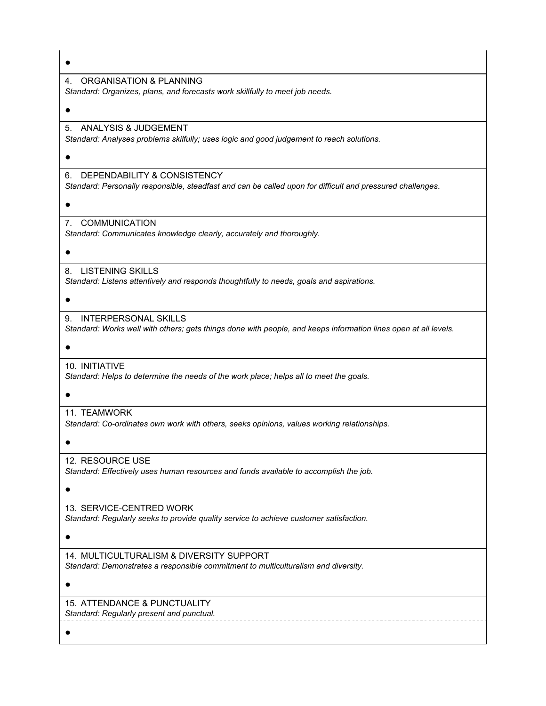| 4. ORGANISATION & PLANNING<br>Standard: Organizes, plans, and forecasts work skillfully to meet job needs.                                      |
|-------------------------------------------------------------------------------------------------------------------------------------------------|
|                                                                                                                                                 |
| ANALYSIS & JUDGEMENT<br>5.<br>Standard: Analyses problems skilfully; uses logic and good judgement to reach solutions.                          |
|                                                                                                                                                 |
| DEPENDABILITY & CONSISTENCY<br>6.<br>Standard: Personally responsible, steadfast and can be called upon for difficult and pressured challenges. |
|                                                                                                                                                 |
| <b>COMMUNICATION</b><br>7.<br>Standard: Communicates knowledge clearly, accurately and thoroughly.                                              |
|                                                                                                                                                 |
| <b>LISTENING SKILLS</b><br>8.<br>Standard: Listens attentively and responds thoughtfully to needs, goals and aspirations.                       |
|                                                                                                                                                 |
| INTERPERSONAL SKILLS<br>9.<br>Standard: Works well with others; gets things done with people, and keeps information lines open at all levels.   |
|                                                                                                                                                 |
| 10. INITIATIVE<br>Standard: Helps to determine the needs of the work place; helps all to meet the goals.                                        |
|                                                                                                                                                 |
| 11. TEAMWORK<br>Standard: Co-ordinates own work with others, seeks opinions, values working relationships.                                      |
|                                                                                                                                                 |
| 12. RESOURCE USE<br>Standard: Effectively uses human resources and funds available to accomplish the job.                                       |
|                                                                                                                                                 |
| 13. SERVICE-CENTRED WORK<br>Standard: Regularly seeks to provide quality service to achieve customer satisfaction.                              |
|                                                                                                                                                 |
| 14. MULTICULTURALISM & DIVERSITY SUPPORT<br>Standard: Demonstrates a responsible commitment to multiculturalism and diversity.                  |
|                                                                                                                                                 |
| 15. ATTENDANCE & PUNCTUALITY<br>Standard: Regularly present and punctual.                                                                       |
|                                                                                                                                                 |